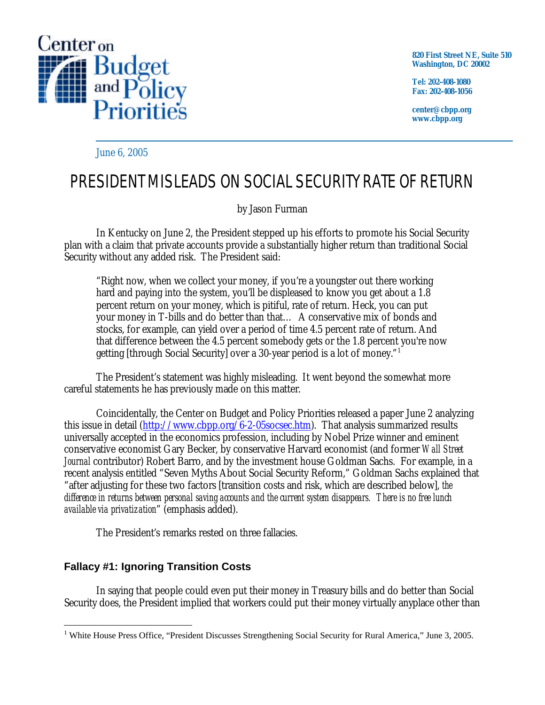

**820 First Street NE, Suite 510 Washington, DC 20002**

**Tel: 202-408-1080 Fax: 202-408-1056**

**center@cbpp.org www.cbpp.org**

June 6, 2005

# PRESIDENT MISLEADS ON SOCIAL SECURITY RATE OF RETURN

## by Jason Furman

In Kentucky on June 2, the President stepped up his efforts to promote his Social Security plan with a claim that private accounts provide a substantially higher return than traditional Social Security without any added risk. The President said:

"Right now, when we collect your money, if you're a youngster out there working hard and paying into the system, you'll be displeased to know you get about a 1.8 percent return on your money, which is pitiful, rate of return. Heck, you can put your money in T-bills and do better than that… A conservative mix of bonds and stocks, for example, can yield over a period of time 4.5 percent rate of return. And that difference between the 4.5 percent somebody gets or the 1.8 percent you're now getting [through Social Security] over a 30-year period is a lot of money." 1

The President's statement was highly misleading. It went beyond the somewhat more careful statements he has previously made on this matter.

Coincidentally, the Center on Budget and Policy Priorities released a paper June 2 analyzing this issue in detail [\(http://www.cbpp.org/6-2-05socsec.htm](http://www.cbpp.org/6-2-05socsec.htm)). That analysis summarized results universally accepted in the economics profession, including by Nobel Prize winner and eminent conservative economist Gary Becker, by conservative Harvard economist (and former *Wall Street Journal* contributor) Robert Barro, and by the investment house Goldman Sachs. For example, in a recent analysis entitled "Seven Myths About Social Security Reform," Goldman Sachs explained that "after adjusting for these two factors [transition costs and risk, which are described below], *the difference in returns between personal saving accounts and the current system disappears. There is no free lunch available via privatization*" (emphasis added).

The President's remarks rested on three fallacies.

## **Fallacy #1: Ignoring Transition Costs**

In saying that people could even put their money in Treasury bills and do better than Social Security does, the President implied that workers could put their money virtually anyplace other than

 $\overline{a}$ <sup>1</sup> White House Press Office, "President Discusses Strengthening Social Security for Rural America," June 3, 2005.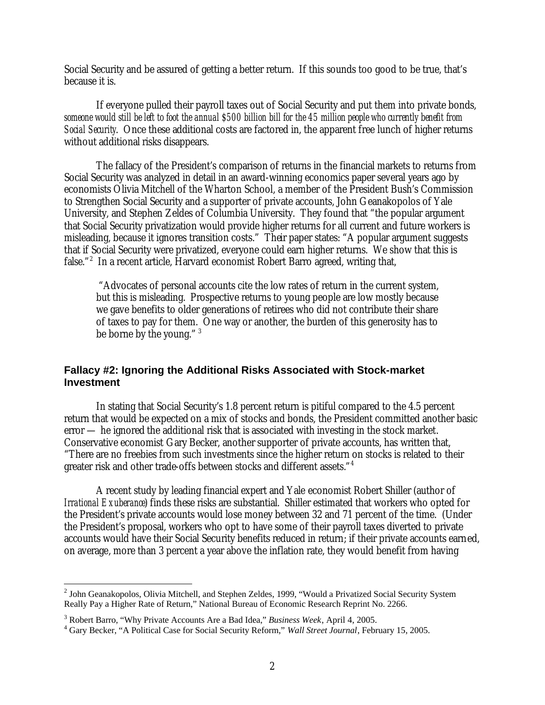Social Security and be assured of getting a better return. If this sounds too good to be true, that's because it is.

If everyone pulled their payroll taxes out of Social Security and put them into private bonds, *someone would still be left to foot the annual \$500 billion bill for the 45 million people who currently benefit from Social Security*. Once these additional costs are factored in, the apparent free lunch of higher returns without additional risks disappears.

The fallacy of the President's comparison of returns in the financial markets to returns from Social Security was analyzed in detail in an award-winning economics paper several years ago by economists Olivia Mitchell of the Wharton School, a member of the President Bush's Commission to Strengthen Social Security and a supporter of private accounts, John Geanakopolos of Yale University, and Stephen Zeldes of Columbia University. They found that "the popular argument that Social Security privatization would provide higher returns for all current and future workers is misleading, because it ignores transition costs." Their paper states: "A popular argument suggests that if Social Security were privatized, everyone could earn higher returns. We show that this is false."<sup>2</sup> In a recent article, Harvard economist Robert Barro agreed, writing that,

 "Advocates of personal accounts cite the low rates of return in the current system, but this is misleading. Prospective returns to young people are low mostly because we gave benefits to older generations of retirees who did not contribute their share of taxes to pay for them. One way or another, the burden of this generosity has to be borne by the young."<sup>3</sup>

#### **Fallacy #2: Ignoring the Additional Risks Associated with Stock-market Investment**

In stating that Social Security's 1.8 percent return is pitiful compared to the 4.5 percent return that would be expected on a mix of stocks and bonds, the President committed another basic error — he ignored the additional risk that is associated with investing in the stock market. Conservative economist Gary Becker, another supporter of private accounts, has written that, "There are no freebies from such investments since the higher return on stocks is related to their greater risk and other trade-offs between stocks and different assets." 4

A recent study by leading financial expert and Yale economist Robert Shiller (author of *Irrational Exuberance*) finds these risks are substantial. Shiller estimated that workers who opted for the President's private accounts would lose money between 32 and 71 percent of the time. (Under the President's proposal, workers who opt to have some of their payroll taxes diverted to private accounts would have their Social Security benefits reduced in return; if their private accounts earned, on average, more than 3 percent a year above the inflation rate, they would benefit from having

<sup>&</sup>lt;sup>2</sup> John Geanakopolos, Olivia Mitchell, and Stephen Zeldes, 1999, "Would a Privatized Social Security System Really Pay a Higher Rate of Return," National Bureau of Economic Research Reprint No. 2266.

<sup>3</sup> Robert Barro, "Why Private Accounts Are a Bad Idea," *Business Week*, April 4, 2005.

<sup>4</sup> Gary Becker, "A Political Case for Social Security Reform," *Wall Street Journal*, February 15, 2005.